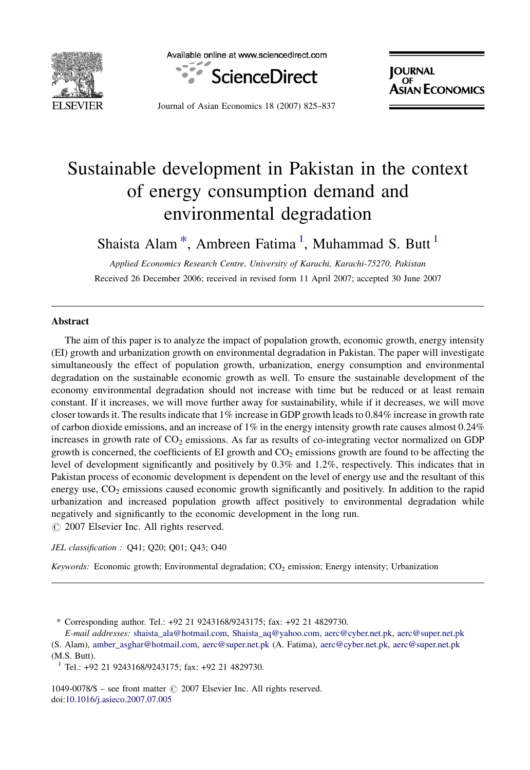

Available online at www.sciencedirect.com



**IOURNAL** OF **ASIAN ECONOMICS** 

Journal of Asian Economics 18 (2007) 825–837

## Sustainable development in Pakistan in the context of energy consumption demand and environmental degradation

Shaista Alam<sup>\*</sup>, Ambreen Fatima<sup>1</sup>, Muhammad S. Butt<sup>1</sup>

Applied Economics Research Centre, University of Karachi, Karachi-75270, Pakistan Received 26 December 2006; received in revised form 11 April 2007; accepted 30 June 2007

## Abstract

The aim of this paper is to analyze the impact of population growth, economic growth, energy intensity (EI) growth and urbanization growth on environmental degradation in Pakistan. The paper will investigate simultaneously the effect of population growth, urbanization, energy consumption and environmental degradation on the sustainable economic growth as well. To ensure the sustainable development of the economy environmental degradation should not increase with time but be reduced or at least remain constant. If it increases, we will move further away for sustainability, while if it decreases, we will move closer towards it. The results indicate that 1% increase in GDP growth leads to 0.84% increase in growth rate of carbon dioxide emissions, and an increase of  $1\%$  in the energy intensity growth rate causes almost 0.24% increases in growth rate of  $CO<sub>2</sub>$  emissions. As far as results of co-integrating vector normalized on GDP growth is concerned, the coefficients of EI growth and  $CO<sub>2</sub>$  emissions growth are found to be affecting the level of development significantly and positively by 0.3% and 1.2%, respectively. This indicates that in Pakistan process of economic development is dependent on the level of energy use and the resultant of this energy use,  $CO<sub>2</sub>$  emissions caused economic growth significantly and positively. In addition to the rapid urbanization and increased population growth affect positively to environmental degradation while negatively and significantly to the economic development in the long run.  $\odot$  2007 Elsevier Inc. All rights reserved.

JEL classification : Q41; Q20; Q01; Q43; O40

Keywords: Economic growth; Environmental degradation;  $CO<sub>2</sub>$  emission; Energy intensity; Urbanization

\* Corresponding author. Tel.: +92 21 9243168/9243175; fax: +92 21 4829730.

E-mail addresses: [shaista\\_ala@hotmail.com](mailto:shaista_ala@hotmail.com), [Shaista\\_aq@yahoo.com](mailto:Shaista_aq@yahoo.com), [aerc@cyber.net.pk](mailto:aerc@cyber.net.pk), [aerc@super.net.pk](mailto:aerc@super.net.pk) (S. Alam), [amber\\_asghar@hotmail.com](mailto:amber_asghar@hotmail.com), [aerc@super.net.pk](mailto:aerc@super.net.pk) (A. Fatima), [aerc@cyber.net.pk](mailto:aerc@cyber.net.pk), [aerc@super.net.pk](mailto:aerc@super.net.pk)

1049-0078/\$ – see front matter  $\odot$  2007 Elsevier Inc. All rights reserved. doi:[10.1016/j.asieco.2007.07.005](http://dx.doi.org/10.1016/j.asieco.2007.07.005)

<sup>(</sup>M.S. Butt).

<sup>1</sup> Tel.: +92 21 9243168/9243175; fax: +92 21 4829730.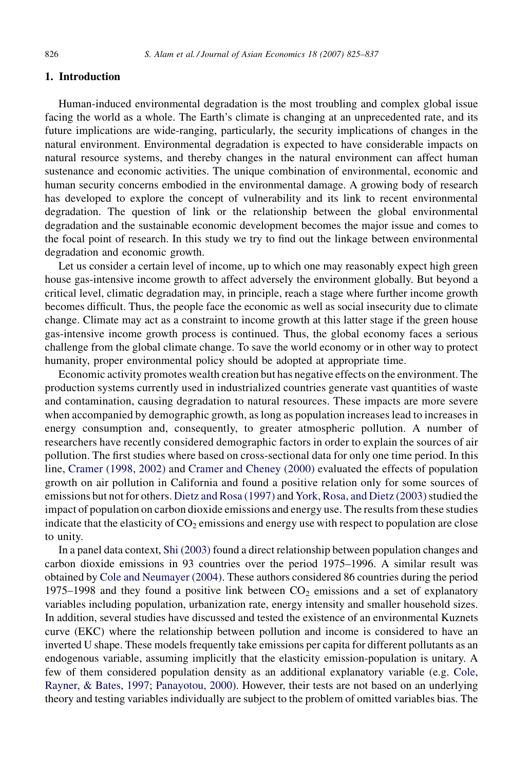## 1. Introduction

Human-induced environmental degradation is the most troubling and complex global issue facing the world as a whole. The Earth's climate is changing at an unprecedented rate, and its future implications are wide-ranging, particularly, the security implications of changes in the natural environment. Environmental degradation is expected to have considerable impacts on natural resource systems, and thereby changes in the natural environment can affect human sustenance and economic activities. The unique combination of environmental, economic and human security concerns embodied in the environmental damage. A growing body of research has developed to explore the concept of vulnerability and its link to recent environmental degradation. The question of link or the relationship between the global environmental degradation and the sustainable economic development becomes the major issue and comes to the focal point of research. In this study we try to find out the linkage between environmental degradation and economic growth.

Let us consider a certain level of income, up to which one may reasonably expect high green house gas-intensive income growth to affect adversely the environment globally. But beyond a critical level, climatic degradation may, in principle, reach a stage where further income growth becomes difficult. Thus, the people face the economic as well as social insecurity due to climate change. Climate may act as a constraint to income growth at this latter stage if the green house gas-intensive income growth process is continued. Thus, the global economy faces a serious challenge from the global climate change. To save the world economy or in other way to protect humanity, proper environmental policy should be adopted at appropriate time.

Economic activity promotes wealth creation but has negative effects on the environment. The production systems currently used in industrialized countries generate vast quantities of waste and contamination, causing degradation to natural resources. These impacts are more severe when accompanied by demographic growth, as long as population increases lead to increases in energy consumption and, consequently, to greater atmospheric pollution. A number of researchers have recently considered demographic factors in order to explain the sources of air pollution. The first studies where based on cross-sectional data for only one time period. In this line, [Cramer \(1998, 2002\)](#page--1-0) and [Cramer and Cheney \(2000\)](#page--1-0) evaluated the effects of population growth on air pollution in California and found a positive relation only for some sources of emissions but not for others. [Dietz and Rosa \(1997\)](#page--1-0) and [York, Rosa, and Dietz \(2003\)](#page--1-0) studied the impact of population on carbon dioxide emissions and energy use. The results from these studies indicate that the elasticity of  $CO<sub>2</sub>$  emissions and energy use with respect to population are close to unity.

In a panel data context, [Shi \(2003\)](#page--1-0) found a direct relationship between population changes and carbon dioxide emissions in 93 countries over the period 1975–1996. A similar result was obtained by [Cole and Neumayer \(2004\)](#page--1-0). These authors considered 86 countries during the period 1975–1998 and they found a positive link between  $CO<sub>2</sub>$  emissions and a set of explanatory variables including population, urbanization rate, energy intensity and smaller household sizes. In addition, several studies have discussed and tested the existence of an environmental Kuznets curve (EKC) where the relationship between pollution and income is considered to have an inverted U shape. These models frequently take emissions per capita for different pollutants as an endogenous variable, assuming implicitly that the elasticity emission-population is unitary. A few of them considered population density as an additional explanatory variable (e.g. [Cole,](#page--1-0) [Rayner, & Bates, 1997;](#page--1-0) [Panayotou, 2000](#page--1-0)). However, their tests are not based on an underlying theory and testing variables individually are subject to the problem of omitted variables bias. The